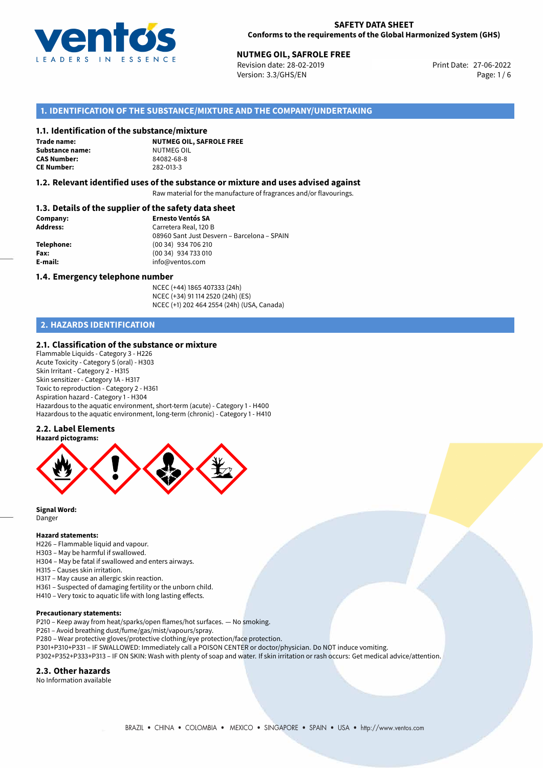

# **NUTMEG OIL, SAFROLE FREE**<br>27-06-2022 **Revision date: 28-02-2019**

Revision date: 28-02-2019 Version: 3.3/GHS/EN Page: 1 / 6

## **1. IDENTIFICATION OF THE SUBSTANCE/MIXTURE AND THE COMPANY/UNDERTAKING**

### **1.1. Identification of the substance/mixture**

**Trade name: Substance name:** NUTMEG OIL<br> **CAS Number:** 84082-68-8 **CAS Number: CE Number:** 282-013-3

**NUTMEG OIL, SAFROLE FREE**

### **1.2. Relevant identified uses of the substance or mixture and uses advised against**

Raw material for the manufacture of fragrances and/or flavourings.

## **1.3. Details of the supplier of the safety data sheet**

| Company:        | <b>Ernesto Ventós SA</b>                    |
|-----------------|---------------------------------------------|
| <b>Address:</b> | Carretera Real, 120 B                       |
|                 | 08960 Sant Just Desvern - Barcelona - SPAIN |
| Telephone:      | (00 34) 934 706 210                         |
| Fax:            | (00 34) 934 733 010                         |
| E-mail:         | info@ventos.com                             |
|                 |                                             |

#### **1.4. Emergency telephone number**

NCEC (+44) 1865 407333 (24h) NCEC (+34) 91 114 2520 (24h) (ES) NCEC (+1) 202 464 2554 (24h) (USA, Canada)

## **2. HAZARDS IDENTIFICATION**

## **2.1. Classification of the substance or mixture**

Flammable Liquids - Category 3 - H226 Acute Toxicity - Category 5 (oral) - H303 Skin Irritant - Category 2 - H315 Skin sensitizer - Category 1A - H317 Toxic to reproduction - Category 2 - H361 Aspiration hazard - Category 1 - H304 Hazardous to the aquatic environment, short-term (acute) - Category 1 - H400 Hazardous to the aquatic environment, long-term (chronic) - Category 1 - H410

## **2.2. Label Elements**



**Signal Word:** Danger

#### **Hazard statements:**

- H226 Flammable liquid and vapour.
- H303 May be harmful if swallowed.
- H304 May be fatal if swallowed and enters airways.
- H315 Causes skin irritation.
- H317 May cause an allergic skin reaction.
- H361 Suspected of damaging fertility or the unborn child.
- H410 Very toxic to aquatic life with long lasting effects.

#### **Precautionary statements:**

- P210 Keep away from heat/sparks/open flames/hot surfaces. No smoking.
- P261 Avoid breathing dust/fume/gas/mist/vapours/spray.
- P280 Wear protective gloves/protective clothing/eye protection/face protection.
- P301+P310+P331 IF SWALLOWED: Immediately call a POISON CENTER or doctor/physician. Do NOT induce vomiting.
- P302+P352+P333+P313 IF ON SKIN: Wash with plenty of soap and water. If skin irritation or rash occurs: Get medical advice/attention.

#### **2.3. Other hazards**

No Information available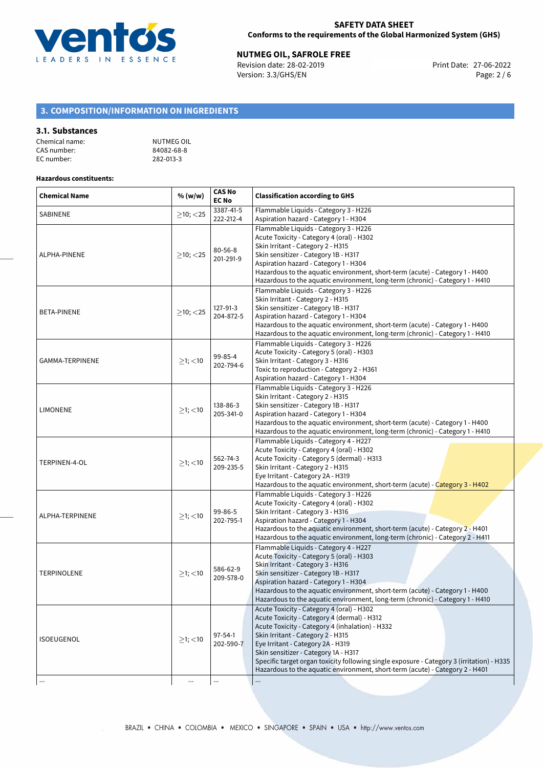

# **NUTMEG OIL, SAFROLE FREE**<br>
Revision date: 28-02-2019<br>
Print Date: 27-06-2022

Revision date: 28-02-2019 Version: 3.3/GHS/EN Page: 2 / 6

# **3. COMPOSITION/INFORMATION ON INGREDIENTS**

## **3.1. Substances**

| Chemical name: | NUTMEG OIL |
|----------------|------------|
| CAS number:    | 84082-68-8 |
| EC number:     | 282-013-3  |

### **Hazardous constituents:**

| <b>Chemical Name</b> | % (w/w)                   | <b>CAS No</b><br><b>EC No</b> | <b>Classification according to GHS</b>                                                                                                                                                                                                                                                                                                                                                                                                     |  |
|----------------------|---------------------------|-------------------------------|--------------------------------------------------------------------------------------------------------------------------------------------------------------------------------------------------------------------------------------------------------------------------------------------------------------------------------------------------------------------------------------------------------------------------------------------|--|
| SABINENE             | $\geq$ 10; <25            | 3387-41-5<br>222-212-4        | Flammable Liquids - Category 3 - H226<br>Aspiration hazard - Category 1 - H304                                                                                                                                                                                                                                                                                                                                                             |  |
| ALPHA-PINENE         | $>10$ ; $<$ 25            | $80 - 56 - 8$<br>201-291-9    | Flammable Liquids - Category 3 - H226<br>Acute Toxicity - Category 4 (oral) - H302<br>Skin Irritant - Category 2 - H315<br>Skin sensitizer - Category 1B - H317<br>Aspiration hazard - Category 1 - H304<br>Hazardous to the aquatic environment, short-term (acute) - Category 1 - H400<br>Hazardous to the aquatic environment, long-term (chronic) - Category 1 - H410                                                                  |  |
| BETA-PINENE          | $>10$ ; $<$ 25            | 127-91-3<br>204-872-5         | Flammable Liquids - Category 3 - H226<br>Skin Irritant - Category 2 - H315<br>Skin sensitizer - Category 1B - H317<br>Aspiration hazard - Category 1 - H304<br>Hazardous to the aquatic environment, short-term (acute) - Category 1 - H400<br>Hazardous to the aquatic environment, long-term (chronic) - Category 1 - H410                                                                                                               |  |
| GAMMA-TERPINENE      | $\geq$ 1; $<$ 10          | 99-85-4<br>202-794-6          | Flammable Liquids - Category 3 - H226<br>Acute Toxicity - Category 5 (oral) - H303<br>Skin Irritant - Category 3 - H316<br>Toxic to reproduction - Category 2 - H361<br>Aspiration hazard - Category 1 - H304                                                                                                                                                                                                                              |  |
| <b>LIMONENE</b>      | $\geq$ 1; $<$ 10          | 138-86-3<br>205-341-0         | Flammable Liquids - Category 3 - H226<br>Skin Irritant - Category 2 - H315<br>Skin sensitizer - Category 1B - H317<br>Aspiration hazard - Category 1 - H304<br>Hazardous to the aquatic environment, short-term (acute) - Category 1 - H400<br>Hazardous to the aquatic environment, long-term (chronic) - Category 1 - H410                                                                                                               |  |
| TERPINEN-4-OL        | $\geq$ 1; <10             | 562-74-3<br>209-235-5         | Flammable Liquids - Category 4 - H227<br>Acute Toxicity - Category 4 (oral) - H302<br>Acute Toxicity - Category 5 (dermal) - H313<br>Skin Irritant - Category 2 - H315<br>Eye Irritant - Category 2A - H319<br>Hazardous to the aquatic environment, short-term (acute) - Category 3 - H402                                                                                                                                                |  |
| ALPHA-TERPINENE      | $≥1;$ < 10                | 99-86-5<br>202-795-1          | Flammable Liquids - Category 3 - H226<br>Acute Toxicity - Category 4 (oral) - H302<br>Skin Irritant - Category 3 - H316<br>Aspiration hazard - Category 1 - H304<br>Hazardous to the aquatic environment, short-term (acute) - Category 2 - H401<br>Hazardous to the aquatic environment, long-term (chronic) - Category 2 - H411                                                                                                          |  |
| <b>TERPINOLENE</b>   | $\geq$ 1; <10             | 586-62-9<br>209-578-0         | Flammable Liquids - Category 4 - H227<br>Acute Toxicity - Category 5 (oral) - H303<br>Skin Irritant - Category 3 - H316<br>Skin sensitizer - Category 1B - H317<br>Aspiration hazard - Category 1 - H304<br>Hazardous to the aquatic environment, short-term (acute) - Category 1 - H400<br>Hazardous to the aquatic environment, long-term (chronic) - Category 1 - H410                                                                  |  |
| ISOEUGENOL           | $\geq$ 1; <10<br>$\cdots$ | 97-54-1<br>202-590-7<br>      | Acute Toxicity - Category 4 (oral) - H302<br>Acute Toxicity - Category 4 (dermal) - H312<br>Acute Toxicity - Category 4 (inhalation) - H332<br>Skin Irritant - Category 2 - H315<br>Eye Irritant - Category 2A - H319<br>Skin sensitizer - Category 1A - H317<br>Specific target organ toxicity following single exposure - Category 3 (irritation) - H335<br>Hazardous to the aquatic environment, short-term (acute) - Category 2 - H401 |  |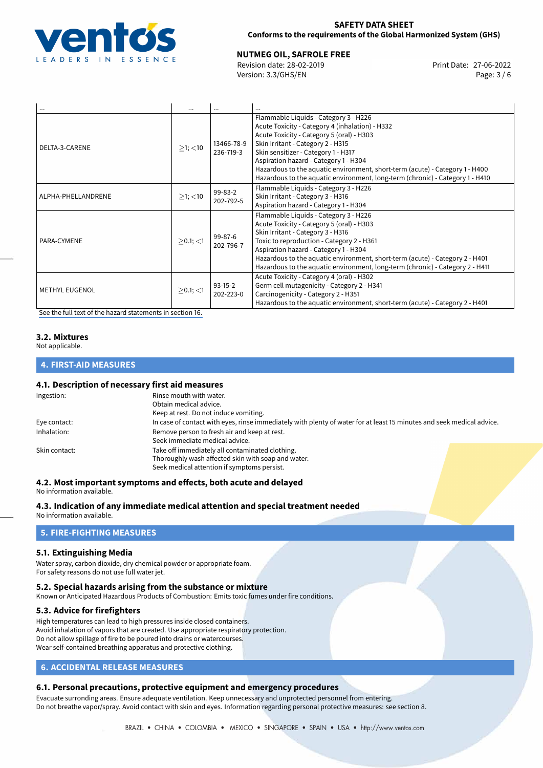

## **SAFETY DATA SHEET Conforms to the requirements of the Global Harmonized System (GHS)**

# **NUTMEG OIL, SAFROLE FREE**<br>27-06-2022 **Revision date: 28-02-2019**

Revision date: 28-02-2019 Version: 3.3/GHS/EN Page: 3 / 6

| $\cdots$              | $\cdots$       |                            | $\cdots$                                                                                                                                                                                                                                                                                                                                                                                                                    |
|-----------------------|----------------|----------------------------|-----------------------------------------------------------------------------------------------------------------------------------------------------------------------------------------------------------------------------------------------------------------------------------------------------------------------------------------------------------------------------------------------------------------------------|
| DELTA-3-CARENE        | $>1$ ; $<$ 10  | 13466-78-9<br>236-719-3    | Flammable Liquids - Category 3 - H226<br>Acute Toxicity - Category 4 (inhalation) - H332<br>Acute Toxicity - Category 5 (oral) - H303<br>Skin Irritant - Category 2 - H315<br>Skin sensitizer - Category 1 - H317<br>Aspiration hazard - Category 1 - H304<br>Hazardous to the aquatic environment, short-term (acute) - Category 1 - H400<br>Hazardous to the aquatic environment, long-term (chronic) - Category 1 - H410 |
| ALPHA-PHELLANDRENE    | $>1$ ; $<$ 10  | 99-83-2<br>202-792-5       | Flammable Liquids - Category 3 - H226<br>Skin Irritant - Category 3 - H316<br>Aspiration hazard - Category 1 - H304                                                                                                                                                                                                                                                                                                         |
| PARA-CYMENE           | $>0.1$ ; <1    | $99 - 87 - 6$<br>202-796-7 | Flammable Liquids - Category 3 - H226<br>Acute Toxicity - Category 5 (oral) - H303<br>Skin Irritant - Category 3 - H316<br>Toxic to reproduction - Category 2 - H361<br>Aspiration hazard - Category 1 - H304<br>Hazardous to the aquatic environment, short-term (acute) - Category 2 - H401<br>Hazardous to the aquatic environment, long-term (chronic) - Category 2 - H411                                              |
| <b>METHYL EUGENOL</b> | $\geq$ 0.1; <1 | $93-15-2$<br>202-223-0     | Acute Toxicity - Category 4 (oral) - H302<br>Germ cell mutagenicity - Category 2 - H341<br>Carcinogenicity - Category 2 - H351<br>Hazardous to the aquatic environment, short-term (acute) - Category 2 - H401                                                                                                                                                                                                              |

[See the full text of the hazard statements in section 16.](#page-5-0)

## **3.2. Mixtures**

Not applicable.

# **4. FIRST-AID MEASURES**

## **4.1. Description of necessary first aid measures**

| Ingestion:    | Rinse mouth with water.                                                                                               |  |
|---------------|-----------------------------------------------------------------------------------------------------------------------|--|
|               | Obtain medical advice.                                                                                                |  |
|               | Keep at rest. Do not induce vomiting.                                                                                 |  |
| Eye contact:  | In case of contact with eyes, rinse immediately with plenty of water for at least 15 minutes and seek medical advice. |  |
| Inhalation:   | Remove person to fresh air and keep at rest.                                                                          |  |
|               | Seek immediate medical advice.                                                                                        |  |
| Skin contact: | Take off immediately all contaminated clothing.                                                                       |  |
|               | Thoroughly wash affected skin with soap and water.                                                                    |  |
|               | Seek medical attention if symptoms persist.                                                                           |  |
|               |                                                                                                                       |  |

# **4.2. Most important symptoms and effects, both acute and delayed**

No information available.

## **4.3. Indication of any immediate medical attention and special treatment needed**

No information available.

# **5. FIRE-FIGHTING MEASURES**

## **5.1. Extinguishing Media**

Water spray, carbon dioxide, dry chemical powder or appropriate foam. For safety reasons do not use full water jet.

## **5.2. Special hazards arising from the substance or mixture**

Known or Anticipated Hazardous Products of Combustion: Emits toxic fumes under fire conditions.

## **5.3. Advice for firefighters**

High temperatures can lead to high pressures inside closed containers. Avoid inhalation of vapors that are created. Use appropriate respiratory protection. Do not allow spillage of fire to be poured into drains or watercourses. Wear self-contained breathing apparatus and protective clothing.

## **6. ACCIDENTAL RELEASE MEASURES**

## **6.1. Personal precautions, protective equipment and emergency procedures**

Evacuate surronding areas. Ensure adequate ventilation. Keep unnecessary and unprotected personnel from entering. Do not breathe vapor/spray. Avoid contact with skin and eyes. Information regarding personal protective measures: see section 8.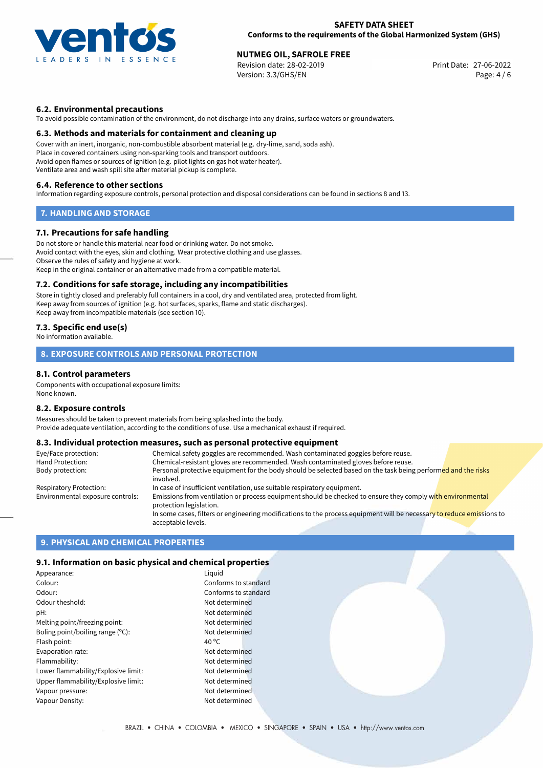

### **SAFETY DATA SHEET Conforms to the requirements of the Global Harmonized System (GHS)**

# **NUTMEG OIL, SAFROLE FREE**<br>
Revision date: 28-02-2019<br> **Print Date: 27-06-2022**

Revision date: 28-02-2019 Version: 3.3/GHS/EN Page: 4 / 6

## **6.2. Environmental precautions**

To avoid possible contamination of the environment, do not discharge into any drains, surface waters or groundwaters.

### **6.3. Methods and materials for containment and cleaning up**

Cover with an inert, inorganic, non-combustible absorbent material (e.g. dry-lime, sand, soda ash). Place in covered containers using non-sparking tools and transport outdoors. Avoid open flames or sources of ignition (e.g. pilot lights on gas hot water heater). Ventilate area and wash spill site after material pickup is complete.

#### **6.4. Reference to other sections**

Information regarding exposure controls, personal protection and disposal considerations can be found in sections 8 and 13.

## **7. HANDLING AND STORAGE**

### **7.1. Precautions for safe handling**

Do not store or handle this material near food or drinking water. Do not smoke. Avoid contact with the eyes, skin and clothing. Wear protective clothing and use glasses. Observe the rules of safety and hygiene at work. Keep in the original container or an alternative made from a compatible material.

#### **7.2. Conditions for safe storage, including any incompatibilities**

Store in tightly closed and preferably full containers in a cool, dry and ventilated area, protected from light. Keep away from sources of ignition (e.g. hot surfaces, sparks, flame and static discharges). Keep away from incompatible materials (see section 10).

## **7.3. Specific end use(s)**

No information available.

## **8. EXPOSURE CONTROLS AND PERSONAL PROTECTION**

### **8.1. Control parameters**

Components with occupational exposure limits: None known.

#### **8.2. Exposure controls**

Measures should be taken to prevent materials from being splashed into the body. Provide adequate ventilation, according to the conditions of use. Use a mechanical exhaust if required.

## **8.3. Individual protection measures, such as personal protective equipment**

| Eye/Face protection:             | Chemical safety goggles are recommended. Wash contaminated goggles before reuse.                                                            |  |
|----------------------------------|---------------------------------------------------------------------------------------------------------------------------------------------|--|
| Hand Protection:                 | Chemical-resistant gloves are recommended. Wash contaminated gloves before reuse.                                                           |  |
| Body protection:                 | Personal protective equipment for the body should be selected based on the task being performed and the risks<br>involved.                  |  |
| Respiratory Protection:          | In case of insufficient ventilation, use suitable respiratory equipment.                                                                    |  |
| Environmental exposure controls: | Emissions from ventilation or process equipment should be checked to ensure they comply with environmental<br>protection legislation.       |  |
|                                  | In some cases, filters or engineering modifications to the process equipment will be necessary to reduce emissions to<br>acceptable levels. |  |

## **9. PHYSICAL AND CHEMICAL PROPERTIES**

#### **9.1. Information on basic physical and chemical properties**

| Appearance:                         | Liguid               |
|-------------------------------------|----------------------|
| Colour:                             | Conforms to standard |
| Odour:                              | Conforms to standard |
| Odour theshold:                     | Not determined       |
| pH:                                 | Not determined       |
| Melting point/freezing point:       | Not determined       |
| Boling point/boiling range (°C):    | Not determined       |
| Flash point:                        | 40 $^{\circ}$ C      |
| Evaporation rate:                   | Not determined       |
| Flammability:                       | Not determined       |
| Lower flammability/Explosive limit: | Not determined       |
| Upper flammability/Explosive limit: | Not determined       |
| Vapour pressure:                    | Not determined       |
| Vapour Density:                     | Not determined       |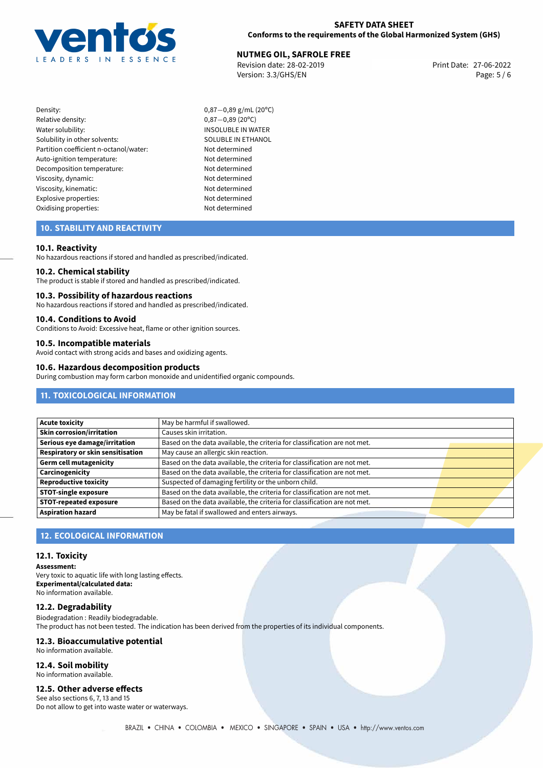

# **NUTMEG OIL, SAFROLE FREE**<br>27-06-2022 **Revision date: 28-02-2019**

Revision date: 28-02-2019 Version: 3.3/GHS/EN Page: 5 / 6

- Density: 0,87−0,89 g/mL (20°C)<br>Relative density: 0,87−0,89 (20°C) Relative density: 0,87−0,89 (20°C)<br>Water solubility: 0,87−0,89 (20°C) Solubility in other solvents: SOLUBLE IN ETHANOL Partition coefficient n-octanol/water: Not determined Auto-ignition temperature: Not determined Decomposition temperature: Not determined Viscosity, dynamic: Not determined Viscosity, kinematic: Not determined Explosive properties: Not determined Oxidising properties: Not determined
	- INSOLUBLE IN WATER

## **10. STABILITY AND REACTIVITY**

## **10.1. Reactivity**

No hazardous reactions if stored and handled as prescribed/indicated.

#### **10.2. Chemical stability**

The product is stable if stored and handled as prescribed/indicated.

#### **10.3. Possibility of hazardous reactions**

No hazardous reactions if stored and handled as prescribed/indicated.

### **10.4. Conditions to Avoid**

Conditions to Avoid: Excessive heat, flame or other ignition sources.

# **10.5. Incompatible materials**

Avoid contact with strong acids and bases and oxidizing agents.

#### **10.6. Hazardous decomposition products**

During combustion may form carbon monoxide and unidentified organic compounds.

# **11. TOXICOLOGICAL INFORMATION**

| Acute toxicity                           | May be harmful if swallowed.                                              |
|------------------------------------------|---------------------------------------------------------------------------|
| Skin corrosion/irritation                | Causes skin irritation.                                                   |
| Serious eye damage/irritation            | Based on the data available, the criteria for classification are not met. |
| <b>Respiratory or skin sensitisation</b> | May cause an allergic skin reaction.                                      |
| Germ cell mutagenicity                   | Based on the data available, the criteria for classification are not met. |
| Carcinogenicity                          | Based on the data available, the criteria for classification are not met. |
| Reproductive toxicity                    | Suspected of damaging fertility or the unborn child.                      |
| STOT-single exposure                     | Based on the data available, the criteria for classification are not met. |
| <b>STOT-repeated exposure</b>            | Based on the data available, the criteria for classification are not met. |
| <b>Aspiration hazard</b>                 | May be fatal if swallowed and enters airways.                             |

## **12. ECOLOGICAL INFORMATION**

## **12.1. Toxicity**

**Assessment:** Very toxic to aquatic life with long lasting effects. **Experimental/calculated data:** No information available.

## **12.2. Degradability**

Biodegradation : Readily biodegradable. The product has not been tested. The indication has been derived from the properties of its individual components.

## **12.3. Bioaccumulative potential**

No information available.

## **12.4. Soil mobility**

No information available.

## **12.5. Other adverse effects**

See also sections 6, 7, 13 and 15 Do not allow to get into waste water or waterways.